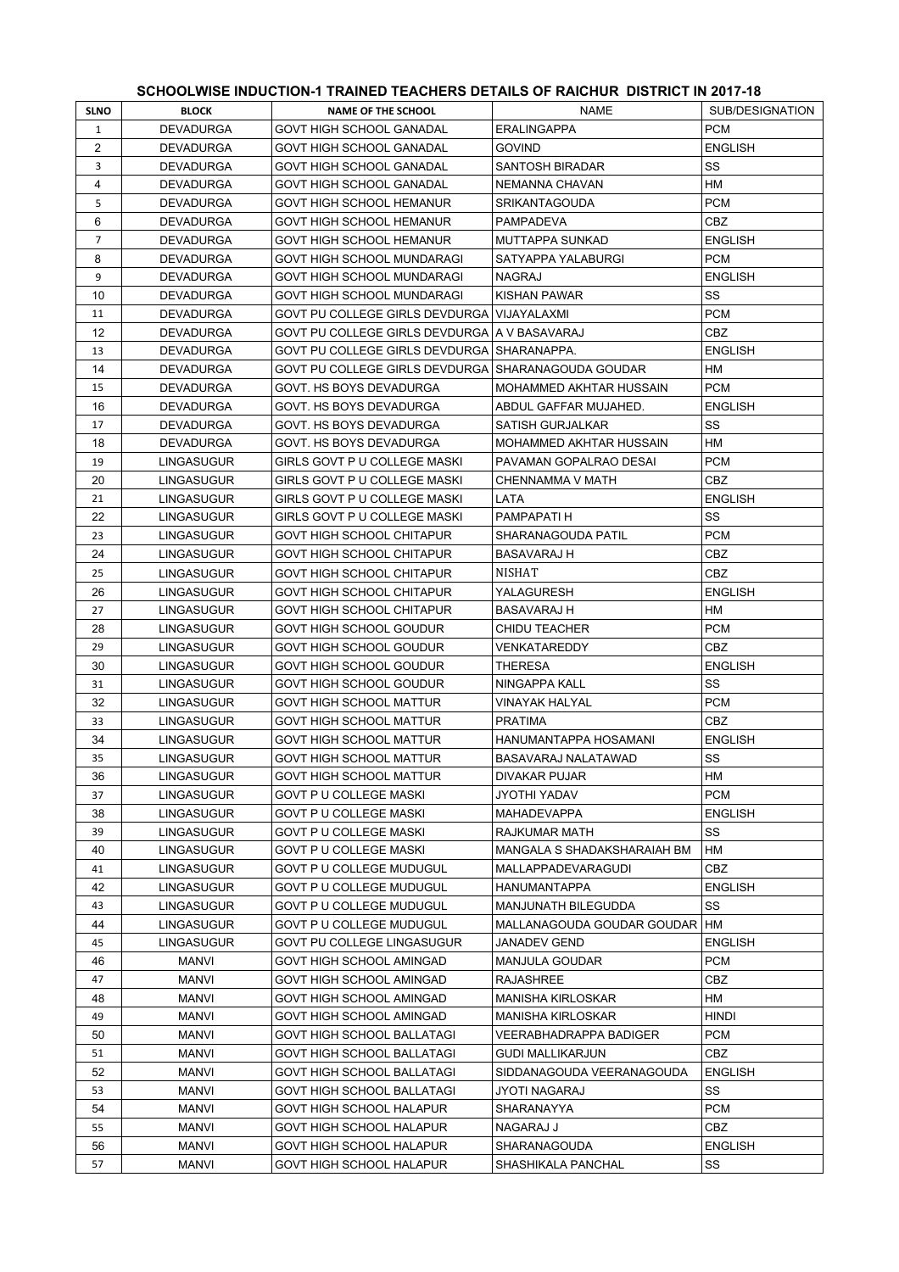## **SCHOOLWISE INDUCTION-1 TRAINED TEACHERS DETAILS OF RAICHUR DISTRICT IN 2017-18**

| <b>SLNO</b>    | <b>BLOCK</b>      | <b>NAME OF THE SCHOOL</b>                                | <b>NAME</b>                                   | SUB/DESIGNATION |
|----------------|-------------------|----------------------------------------------------------|-----------------------------------------------|-----------------|
| $\mathbf{1}$   | <b>DEVADURGA</b>  | GOVT HIGH SCHOOL GANADAL                                 | <b>ERALINGAPPA</b>                            | <b>PCM</b>      |
| $\overline{2}$ | <b>DEVADURGA</b>  | GOVT HIGH SCHOOL GANADAL                                 | <b>GOVIND</b>                                 | <b>ENGLISH</b>  |
| 3              | <b>DEVADURGA</b>  | GOVT HIGH SCHOOL GANADAL                                 | SANTOSH BIRADAR                               | SS              |
| 4              | <b>DEVADURGA</b>  | <b>GOVT HIGH SCHOOL GANADAL</b>                          | NEMANNA CHAVAN                                | HМ              |
| 5              | <b>DEVADURGA</b>  | <b>GOVT HIGH SCHOOL HEMANUR</b>                          | <b>SRIKANTAGOUDA</b>                          | <b>PCM</b>      |
| 6              | <b>DEVADURGA</b>  | GOVT HIGH SCHOOL HEMANUR                                 | PAMPADEVA                                     | <b>CBZ</b>      |
| $\overline{7}$ | <b>DEVADURGA</b>  | GOVT HIGH SCHOOL HEMANUR                                 | MUTTAPPA SUNKAD                               | <b>ENGLISH</b>  |
| 8              | <b>DEVADURGA</b>  | <b>GOVT HIGH SCHOOL MUNDARAGI</b>                        | SATYAPPA YALABURGI                            | <b>PCM</b>      |
| 9              | <b>DEVADURGA</b>  | GOVT HIGH SCHOOL MUNDARAGI                               | <b>NAGRAJ</b>                                 | <b>ENGLISH</b>  |
| 10             | <b>DEVADURGA</b>  | GOVT HIGH SCHOOL MUNDARAGI                               | KISHAN PAWAR                                  | SS              |
| 11             | <b>DEVADURGA</b>  | GOVT PU COLLEGE GIRLS DEVDURGA                           | VIJAYALAXMI                                   | <b>PCM</b>      |
| 12             | <b>DEVADURGA</b>  | GOVT PU COLLEGE GIRLS DEVDURGA   A V BASAVARAJ           |                                               | CBZ             |
| 13             | <b>DEVADURGA</b>  | GOVT PU COLLEGE GIRLS DEVDURGA SHARANAPPA.               |                                               | <b>ENGLISH</b>  |
| 14             | <b>DEVADURGA</b>  | GOVT PU COLLEGE GIRLS DEVDURGA   SHARANAGOUDA GOUDAR     |                                               | HМ              |
| 15             | <b>DEVADURGA</b>  | GOVT. HS BOYS DEVADURGA                                  | MOHAMMED AKHTAR HUSSAIN                       | <b>PCM</b>      |
| 16             | <b>DEVADURGA</b>  | GOVT. HS BOYS DEVADURGA                                  | ABDUL GAFFAR MUJAHED.                         | <b>ENGLISH</b>  |
| 17             | <b>DEVADURGA</b>  | GOVT. HS BOYS DEVADURGA                                  | <b>SATISH GURJALKAR</b>                       | SS              |
| 18             | <b>DEVADURGA</b>  | GOVT. HS BOYS DEVADURGA                                  | MOHAMMED AKHTAR HUSSAIN                       | HМ              |
| 19             | LINGASUGUR        | GIRLS GOVT P U COLLEGE MASKI                             | PAVAMAN GOPALRAO DESAI                        | <b>PCM</b>      |
| 20             | LINGASUGUR        | GIRLS GOVT P U COLLEGE MASKI                             | CHENNAMMA V MATH                              | <b>CBZ</b>      |
| 21             | LINGASUGUR        | GIRLS GOVT P U COLLEGE MASKI                             | LATA                                          | <b>ENGLISH</b>  |
| 22             | LINGASUGUR        | GIRLS GOVT P U COLLEGE MASKI                             | PAMPAPATI H                                   | SS              |
| 23             | LINGASUGUR        | GOVT HIGH SCHOOL CHITAPUR                                | SHARANAGOUDA PATIL                            | <b>PCM</b>      |
| 24             | LINGASUGUR        | GOVT HIGH SCHOOL CHITAPUR                                | BASAVARAJ H                                   | CBZ             |
| 25             | LINGASUGUR        | GOVT HIGH SCHOOL CHITAPUR                                | NISHAT                                        | <b>CBZ</b>      |
| 26             | LINGASUGUR        | GOVT HIGH SCHOOL CHITAPUR                                | YALAGURESH                                    | <b>ENGLISH</b>  |
| 27             | LINGASUGUR        | GOVT HIGH SCHOOL CHITAPUR                                | <b>BASAVARAJ H</b>                            | HM              |
| 28             | LINGASUGUR        | GOVT HIGH SCHOOL GOUDUR                                  | CHIDU TEACHER                                 | PCM             |
| 29             | LINGASUGUR        | GOVT HIGH SCHOOL GOUDUR                                  | VENKATAREDDY                                  | <b>CBZ</b>      |
| 30             | LINGASUGUR        | GOVT HIGH SCHOOL GOUDUR                                  | THERESA                                       | <b>ENGLISH</b>  |
| 31             | LINGASUGUR        | GOVT HIGH SCHOOL GOUDUR                                  | NINGAPPA KALL                                 | SS              |
| 32             | LINGASUGUR        | GOVT HIGH SCHOOL MATTUR                                  | VINAYAK HALYAL                                | <b>PCM</b>      |
| 33             | <b>LINGASUGUR</b> | GOVT HIGH SCHOOL MATTUR                                  | <b>PRATIMA</b>                                | <b>CBZ</b>      |
| 34             | LINGASUGUR        | <b>GOVT HIGH SCHOOL MATTUR</b>                           | HANUMANTAPPA HOSAMANI                         | <b>ENGLISH</b>  |
| 35             | LINGASUGUR        | <b>GOVT HIGH SCHOOL MATTUR</b>                           | BASAVARAJ NALATAWAD                           | SS              |
| 36             | LINGASUGUR        | GOVT HIGH SCHOOL MATTUR                                  | <b>DIVAKAR PUJAR</b>                          | ${\sf HM}$      |
| 37             | LINGASUGUR        | GOVT P U COLLEGE MASKI                                   | JYOTHI YADAV                                  | PCM             |
| 38             | LINGASUGUR        | GOVT P U COLLEGE MASKI                                   | <b>MAHADEVAPPA</b>                            | <b>ENGLISH</b>  |
| 39             | LINGASUGUR        | GOVT P U COLLEGE MASKI                                   | RAJKUMAR MATH                                 | SS              |
| 40             | LINGASUGUR        | GOVT P U COLLEGE MASKI                                   | MANGALA S SHADAKSHARAIAH BM                   | НM              |
| 41             | LINGASUGUR        | GOVT P U COLLEGE MUDUGUL                                 | MALLAPPADEVARAGUDI                            | CBZ             |
| 42             | LINGASUGUR        | GOVT P U COLLEGE MUDUGUL                                 | HANUMANTAPPA                                  | <b>ENGLISH</b>  |
| 43             | LINGASUGUR        | <b>GOVT P U COLLEGE MUDUGUL</b>                          | <b>MANJUNATH BILEGUDDA</b>                    | SS              |
| 44             | LINGASUGUR        | <b>GOVT P U COLLEGE MUDUGUL</b>                          | MALLANAGOUDA GOUDAR GOUDAR   HM               |                 |
| 45             | LINGASUGUR        | GOVT PU COLLEGE LINGASUGUR                               | JANADEV GEND                                  | <b>ENGLISH</b>  |
| 46             | MANVI             | GOVT HIGH SCHOOL AMINGAD                                 | MANJULA GOUDAR                                | PCM             |
| 47             | MANVI             | GOVT HIGH SCHOOL AMINGAD                                 | RAJASHREE                                     | CBZ             |
| 48             | MANVI             | GOVT HIGH SCHOOL AMINGAD                                 | MANISHA KIRLOSKAR                             | НM              |
| 49             | MANVI             | GOVT HIGH SCHOOL AMINGAD                                 | MANISHA KIRLOSKAR                             | HINDI           |
| 50             | MANVI             | GOVT HIGH SCHOOL BALLATAGI                               | VEERABHADRAPPA BADIGER                        | PCM<br>CBZ      |
| 51<br>52       | MANVI<br>MANVI    | GOVT HIGH SCHOOL BALLATAGI<br>GOVT HIGH SCHOOL BALLATAGI | GUDI MALLIKARJUN<br>SIDDANAGOUDA VEERANAGOUDA | <b>ENGLISH</b>  |
| 53             | MANVI             | GOVT HIGH SCHOOL BALLATAGI                               | JYOTI NAGARAJ                                 | SS              |
| 54             | MANVI             | GOVT HIGH SCHOOL HALAPUR                                 | SHARANAYYA                                    | PCM             |
| 55             | MANVI             | GOVT HIGH SCHOOL HALAPUR                                 | NAGARAJ J                                     | CBZ             |
| 56             | MANVI             | GOVT HIGH SCHOOL HALAPUR                                 | SHARANAGOUDA                                  | <b>ENGLISH</b>  |
| 57             | MANVI             | GOVT HIGH SCHOOL HALAPUR                                 | SHASHIKALA PANCHAL                            | SS              |
|                |                   |                                                          |                                               |                 |